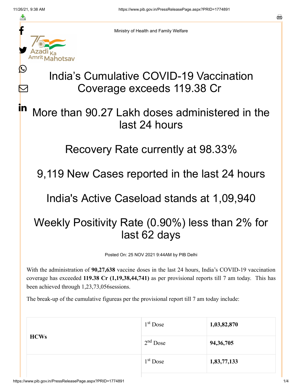≛

Ŀ

 $\bm{\nabla}$ 

in



Ministry of Health and Family Welfare

## India's Cumulative COVID-19 Vaccination Coverage exceeds 119.38 Cr

## More than 90.27 Lakh doses administered in the last 24 hours

## Recovery Rate currently at 98.33%

9,119 New Cases reported in the last 24 hours

India's Active Caseload stands at 1,09,940

## Weekly Positivity Rate (0.90%) less than 2% for last 62 days

Posted On: 25 NOV 2021 9:44AM by PIB Delhi

With the administration of **90,27,638** vaccine doses in the last 24 hours, India's COVID-19 vaccination coverage has exceeded **119.38 Cr (1,19,38,44,741)** as per provisional reports till 7 am today. This has been achieved through 1,23,73,056sessions.

The break-up of the cumulative figureas per the provisional report till 7 am today include:

| <b>HCWs</b> | $1st$ Dose | 1,03,82,870 |
|-------------|------------|-------------|
|             | $2nd$ Dose | 94, 36, 705 |
|             | $1st$ Dose | 1,83,77,133 |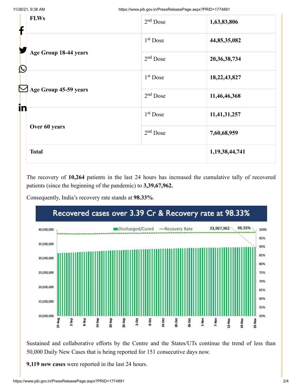| f          | <b>FLWs</b>                            | $2nd$ Dose           | 1,63,83,806        |
|------------|----------------------------------------|----------------------|--------------------|
|            |                                        | 1 <sup>st</sup> Dose | 44,85,35,082       |
| $\bigcirc$ | Age Group 18-44 years                  | $2nd$ Dose           | 20, 36, 38, 734    |
|            |                                        | $1st$ Dose           | 18,22,43,827       |
| in         | Age Group 45-59 years<br>Over 60 years | $2nd$ Dose           | 11,46,46,368       |
|            |                                        | $1st$ Dose           | 11,41,31,257       |
|            |                                        | $2nd$ Dose           | 7,60,68,959        |
|            | <b>Total</b>                           |                      | 1, 19, 38, 44, 741 |

The recovery of **10,264** patients in the last 24 hours has increased the cumulative tally of recovered patients (since the beginning of the pandemic) to **3,39,67,962.**

Consequently, India's recovery rate stands at **98.33%**.



Sustained and collaborative efforts by the Centre and the States/UTs continue the trend of less than 50,000 Daily New Cases that is being reported for 151 consecutive days now.

**9,119 new cases** were reported in the last 24 hours.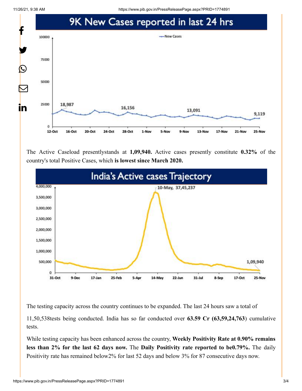11/26/21, 9:38 AM https://www.pib.gov.in/PressReleasePage.aspx?PRID=1774891



The Active Caseload presentlystands at **1,09,940.** Active cases presently constitute **0.32%** of the country's total Positive Cases, which **is lowest since March 2020.**



The testing capacity across the country continues to be expanded. The last 24 hours saw a total of

11,50,538tests being conducted. India has so far conducted over **63.59 Cr (63,59,24,763**) cumulative tests.

While testing capacity has been enhanced across the country, **Weekly Positivity Rate at 0.90% remains less than 2% for the last 62 days now.** The **Daily Positivity rate reported to be0.79%.** The daily Positivity rate has remained below2% for last 52 days and below 3% for 87 consecutive days now.